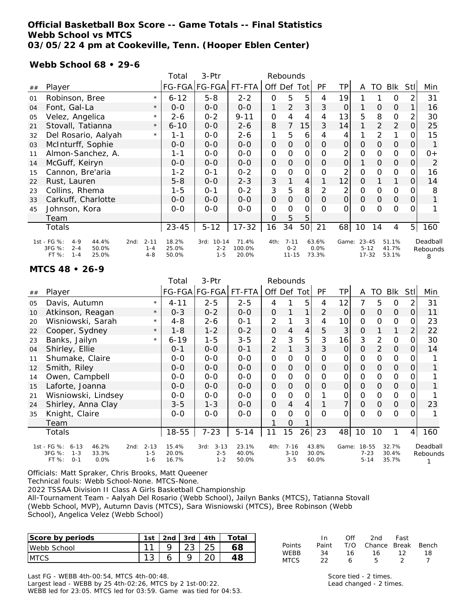### **Official Basketball Box Score -- Game Totals -- Final Statistics Webb School vs MTCS 03/05/22 4 pm at Cookeville, Tenn. (Hooper Eblen Center)**

### **Webb School 68 • 29-6**

|    |                                                                                            |                                        | Total                   | 3-Ptr                            | Rebounds                 |                |                                  |               |                        |                |                                    |                |                         |                |                           |
|----|--------------------------------------------------------------------------------------------|----------------------------------------|-------------------------|----------------------------------|--------------------------|----------------|----------------------------------|---------------|------------------------|----------------|------------------------------------|----------------|-------------------------|----------------|---------------------------|
| ## | Player                                                                                     |                                        |                         | FG-FGA FG-FGA                    | FT-FTA                   | Off Def Tot    |                                  |               | PF                     | TP             | A                                  | TO             | <b>Blk</b>              | <b>Stll</b>    | Min                       |
| 01 | Robinson, Bree                                                                             | $\star$                                | $6 - 12$                | $5 - 8$                          | $2 - 2$                  | $\mathbf 0$    | 5                                | 5             | 4                      | 19             |                                    |                | 0                       | 2              | 31                        |
| 04 | Font, Gal-La                                                                               | $\star$                                | $O - O$                 | $0-0$                            | $0-0$                    | 1              | $\overline{2}$                   | 3             | 3                      | 0              |                                    | $\overline{O}$ | $\mathcal{O}$           | 1              | 16                        |
| 05 | Velez, Angelica                                                                            | $\star$                                | $2 - 6$                 | $0 - 2$                          | $9 - 11$                 | $\mathbf 0$    | 4                                | 4             | 4                      | 13             | 5                                  | 8              | 0                       | 2              | 30                        |
| 21 | Stovall, Tatianna                                                                          | $\star$                                | $6 - 10$                | $0 - 0$                          | $2 - 6$                  | 8              | 7                                | 15            | 3                      | 14             |                                    | 2              | 2                       | 0              | 25                        |
| 32 | Del Rosario, Aalyah                                                                        | $\star$                                | 1-1                     | $0 - 0$                          | $2 - 6$                  | 1              | 5                                | 6             | 4                      | 4              |                                    | 2              | 1                       | $\Omega$       | 15                        |
| 03 | McInturff, Sophie                                                                          |                                        | $0 - 0$                 | $0 - 0$                          | $0 - 0$                  | 0              | $\Omega$                         | 0             | $\Omega$               | 0              | $\Omega$                           | $\overline{O}$ | $\mathbf 0$             | 0              |                           |
| 11 | Almon-Sanchez, A.                                                                          |                                        | $1 - 1$                 | $0 - 0$                          | $0 - 0$                  | $\overline{0}$ | O                                | 0             | 0                      | $\overline{2}$ | 0                                  | 0              | 0                       | $\Omega$       | $0+$                      |
| 14 | McGuff, Keiryn                                                                             |                                        | $0 - 0$                 | $0 - 0$                          | $0-0$                    | $\mathcal{O}$  | $\mathbf 0$                      | $\mathcal{O}$ | $\mathcal{O}$          | $\Omega$       | 1                                  | $\overline{O}$ | $\mathcal{O}$           | 0              | 2                         |
| 15 | Cannon, Bre'aria                                                                           |                                        | $1 - 2$                 | $0 - 1$                          | $0 - 2$                  | $\mathcal{O}$  | O                                | 0             | 0                      | 2              | $\mathbf 0$                        | O              | 0                       | 0              | 16                        |
| 22 | Rust, Lauren                                                                               |                                        | $5 - 8$                 | $0 - 0$                          | $2 - 3$                  | 3              |                                  | 4             |                        | 12             | $\Omega$                           |                |                         | $\overline{O}$ | 14                        |
| 23 | Collins, Rhema                                                                             |                                        | $1 - 5$                 | $0 - 1$                          | $0 - 2$                  | 3              | 5                                | 8             | 2                      | 2              | O                                  | O              | 0                       | 0              | 8                         |
| 33 | Carkuff, Charlotte                                                                         |                                        | $0 - 0$                 | $0 - 0$                          | $0-0$                    | O              | $\mathcal{O}$                    | 0             | $\mathcal{O}$          | $\overline{O}$ | $\mathcal{O}$                      | $\mathcal{O}$  | $\mathcal{O}$           | $\overline{O}$ |                           |
| 45 | Johnson, Kora                                                                              |                                        | $0 - 0$                 | $O-O$                            | $O-O$                    | $\mathbf 0$    | $\Omega$                         | $\Omega$      | $\Omega$               | 0              | $\Omega$                           | $\Omega$       | $\mathbf 0$             | 0              |                           |
|    | Team                                                                                       |                                        |                         |                                  |                          | 0              | 5                                | 5             |                        |                |                                    |                |                         |                |                           |
|    | Totals                                                                                     |                                        | $23 - 45$               | $5 - 12$                         | $17 - 32$                | 16             | 34                               | 50            | 21                     | 68             | 10                                 | 14             | 4                       | 5 <sup>1</sup> | 160                       |
|    | 1st - FG %:<br>44.4%<br>$4 - 9$<br>3FG %:<br>50.0%<br>$2 - 4$<br>FT %:<br>25.0%<br>$1 - 4$ | $2 - 11$<br>2nd:<br>$1 - 4$<br>$4 - 8$ | 18.2%<br>25.0%<br>50.0% | 3rd: 10-14<br>$2 - 2$<br>$1 - 5$ | 71.4%<br>100.0%<br>20.0% | 4th:           | $7 - 11$<br>$0 - 2$<br>$11 - 15$ |               | 63.6%<br>0.0%<br>73.3% | Game:          | $23 - 45$<br>$5 - 12$<br>$17 - 32$ |                | 51.1%<br>41.7%<br>53.1% |                | Deadball<br>Rebounds<br>8 |

#### **MTCS 48 • 26-9**

|    |                                                                        |                     | Total          | 3-Ptr                       | Rebounds       |             |                      |                |                |                 |                   |                |                |                |          |
|----|------------------------------------------------------------------------|---------------------|----------------|-----------------------------|----------------|-------------|----------------------|----------------|----------------|-----------------|-------------------|----------------|----------------|----------------|----------|
| ## | Player                                                                 |                     |                | FG-FGA FG-FGA               | FT-FTA         |             | Off Def Tot          |                | PF             | TP              | A                 | TO             | <b>Blk</b>     | Stll           | Min      |
| 05 | Davis, Autumn                                                          | $\star$             | $4 - 11$       | $2 - 5$                     | $2 - 5$        | 4           |                      | 5              | 4              | 12              | 7                 | 5              | $\circ$        | 2              | 31       |
| 10 | Atkinson, Reagan                                                       | $\star$             | $0 - 3$        | $0 - 2$                     | $0-0$          | O           |                      | 1              | $\overline{2}$ | $\mathbf 0$     | $\mathcal{O}$     | $\mathcal{O}$  | $\overline{O}$ | $\overline{O}$ | 11       |
| 20 | Wisniowski, Sarah                                                      | $\star$             | $4 - 8$        | $2 - 6$                     | $0 - 1$        | 2           |                      | 3              | 4              | 10 <sup>1</sup> | 0                 | O              | 0              | 0              | 23       |
| 22 | Cooper, Sydney                                                         | $\star$             | 1-8            | $1 - 2$                     | $0 - 2$        | 0           | 4                    | $\overline{4}$ | 5              | 3               | O                 |                | 1              | $\overline{2}$ | 22       |
| 23 | Banks, Jailyn                                                          | $\star$             | $6 - 19$       | $1 - 5$                     | $3 - 5$        | 2           | 3                    | 5              | 3              | 16              | 3                 | 2              | 0              | 0              | 30       |
| 04 | Shirley, Ellie                                                         |                     | $0 - 1$        | $0 - 0$                     | $0 - 1$        | 2           |                      | 3              | 3              | 0               | $\Omega$          | 2              | $\mathcal{O}$  | $\Omega$       | 14       |
| 11 | Shumake, Claire                                                        |                     | $0 - 0$        | $0 - 0$                     | $O-O$          | $\mathbf 0$ | $\Omega$             | 0              | $\Omega$       | 0               | $\mathbf 0$       | $\Omega$       | $\mathsf{O}$   | 0              |          |
| 12 | Smith, Riley                                                           |                     | $0 - 0$        | $0-0$                       | $0-0$          | 0           | 0                    | 0              | $\Omega$       | $\overline{O}$  | $\mathsf O$       | $\overline{O}$ | $\mathbf 0$    | $\overline{O}$ |          |
| 14 | Owen, Campbell                                                         |                     | $0 - 0$        | $0-0$                       | $0-0$          | $\mathbf 0$ | O                    | 0              | $\Omega$       | 0               | $\mathbf 0$       | 0              | 0              | $\Omega$       |          |
| 15 | Laforte, Joanna                                                        |                     | $0 - 0$        | $0 - 0$                     | $0 - 0$        | 0           | $\Omega$             | 0              | $\Omega$       | $\overline{O}$  | $\Omega$          | $\overline{O}$ | $\mathcal{O}$  | $\overline{O}$ |          |
| 21 | Wisniowski, Lindsey                                                    |                     | $0 - 0$        | $0 - 0$                     | $0 - 0$        | $\mathbf 0$ | O                    | 0              |                | 0               | O                 | 0              | 0              | 0              |          |
| 24 | Shirley, Anna Clay                                                     |                     | $3 - 5$        | $1 - 3$                     | $0 - 0$        | 0           | $\overline{4}$       | 4              |                | 7               | $\mathbf 0$       | $\overline{O}$ | $\mathcal{O}$  | $\overline{O}$ | 23       |
| 35 | Knight, Claire                                                         |                     | $0 - 0$        | $0 - 0$                     | $0 - 0$        | 0           | $\Omega$             | O              | $\Omega$       | 0               | $\Omega$          | $\Omega$       | $\mathbf 0$    | $\Omega$       |          |
|    | Team                                                                   |                     |                |                             |                |             | 0                    |                |                |                 |                   |                |                |                |          |
|    | Totals                                                                 |                     | 18-55          | $7 - 23$                    | $5 - 14$       | 11          | 15                   | 26             | 23             | 48              | 10                | 10             | 1              | 4 <sup>1</sup> | 160      |
|    | 1st - FG %:<br>46.2%<br>$6 - 13$<br>2nd:<br>3FG %:<br>33.3%<br>$1 - 3$ | $2 - 13$<br>$1 - 5$ | 15.4%<br>20.0% | $3 - 13$<br>3rd:<br>$2 - 5$ | 23.1%<br>40.0% | 4th:        | $7 - 16$<br>$3 - 10$ |                | 43.8%<br>30.0% | Game:           | 18-55<br>$7 - 23$ |                | 32.7%<br>30.4% |                | Deadball |
|    | FT %:<br>0.0%<br>$0 - 1$<br>$1 - 6$                                    | 16.7%               | $1 - 2$        | 50.0%                       |                | $3 - 5$     |                      | 60.0%          |                | $5 - 14$        |                   | 35.7%          |                | Rebounds<br>1  |          |

Officials: Matt Spraker, Chris Brooks, Matt Queener

Technical fouls: Webb School-None. MTCS-None.

2022 TSSAA Division II Class A Girls Basketball Championship

All-Tournament Team - Aalyah Del Rosario (Webb School), Jailyn Banks (MTCS), Tatianna Stovall (Webb School, MVP), Autumn Davis (MTCS), Sara Wisniowski (MTCS), Bree Robinson (Webb School), Angelica Velez (Webb School)

| Score by periods | 1st | . 2nd ' | 3rd   4th | Total |
|------------------|-----|---------|-----------|-------|
| Webb School      | 11  |         |           |       |
| <b>IMTCS</b>     |     |         |           |       |

|             | In.   | ∩ff | 2nd                    | Fast |     |
|-------------|-------|-----|------------------------|------|-----|
| Points      | Paint |     | T/O Chance Break Bench |      |     |
| <b>WFRR</b> | 34    | 16  | 16.                    | 12   | 18. |
| MTCS.       |       |     | Б.                     |      |     |

Score tied - 2 times. Lead changed - 2 times.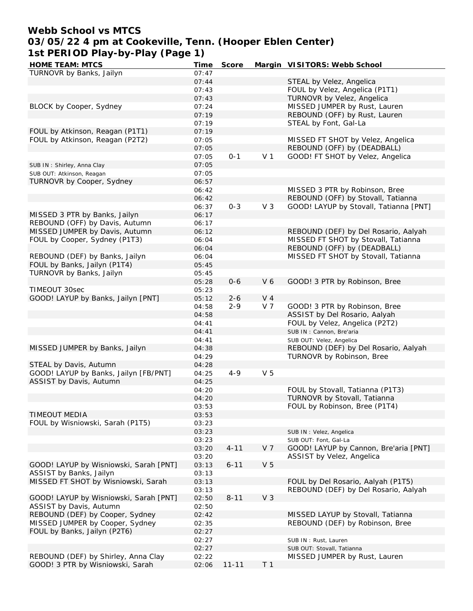# **Webb School vs MTCS 03/05/22 4 pm at Cookeville, Tenn. (Hooper Eblen Center) 1st PERIOD Play-by-Play (Page 1)**

| <b>HOME TEAM: MTCS</b>                 | Time  | Score     |                | Margin VISITORS: Webb School           |
|----------------------------------------|-------|-----------|----------------|----------------------------------------|
| TURNOVR by Banks, Jailyn               | 07:47 |           |                |                                        |
|                                        | 07:44 |           |                | STEAL by Velez, Angelica               |
|                                        | 07:43 |           |                | FOUL by Velez, Angelica (P1T1)         |
|                                        | 07:43 |           |                | TURNOVR by Velez, Angelica             |
| BLOCK by Cooper, Sydney                | 07:24 |           |                | MISSED JUMPER by Rust, Lauren          |
|                                        | 07:19 |           |                | REBOUND (OFF) by Rust, Lauren          |
|                                        | 07:19 |           |                | STEAL by Font, Gal-La                  |
| FOUL by Atkinson, Reagan (P1T1)        | 07:19 |           |                |                                        |
| FOUL by Atkinson, Reagan (P2T2)        | 07:05 |           |                | MISSED FT SHOT by Velez, Angelica      |
|                                        | 07:05 |           |                | REBOUND (OFF) by (DEADBALL)            |
|                                        | 07:05 | $0 - 1$   | V <sub>1</sub> | GOOD! FT SHOT by Velez, Angelica       |
| SUB IN: Shirley, Anna Clay             | 07:05 |           |                |                                        |
| SUB OUT: Atkinson, Reagan              | 07:05 |           |                |                                        |
| TURNOVR by Cooper, Sydney              | 06:57 |           |                |                                        |
|                                        | 06:42 |           |                | MISSED 3 PTR by Robinson, Bree         |
|                                        | 06:42 |           |                | REBOUND (OFF) by Stovall, Tatianna     |
|                                        | 06:37 | $0 - 3$   | V <sub>3</sub> | GOOD! LAYUP by Stovall, Tatianna [PNT] |
| MISSED 3 PTR by Banks, Jailyn          | 06:17 |           |                |                                        |
| REBOUND (OFF) by Davis, Autumn         | 06:17 |           |                |                                        |
| MISSED JUMPER by Davis, Autumn         |       |           |                |                                        |
|                                        | 06:12 |           |                | REBOUND (DEF) by Del Rosario, Aalyah   |
| FOUL by Cooper, Sydney (P1T3)          | 06:04 |           |                | MISSED FT SHOT by Stovall, Tatianna    |
|                                        | 06:04 |           |                | REBOUND (OFF) by (DEADBALL)            |
| REBOUND (DEF) by Banks, Jailyn         | 06:04 |           |                | MISSED FT SHOT by Stovall, Tatianna    |
| FOUL by Banks, Jailyn (P1T4)           | 05:45 |           |                |                                        |
| TURNOVR by Banks, Jailyn               | 05:45 |           |                |                                        |
|                                        | 05:28 | $0 - 6$   | V6             | GOOD! 3 PTR by Robinson, Bree          |
| TIMEOUT 30sec                          | 05:23 |           |                |                                        |
| GOOD! LAYUP by Banks, Jailyn [PNT]     | 05:12 | $2 - 6$   | $V_4$          |                                        |
|                                        | 04:58 | $2 - 9$   | V <sub>7</sub> | GOOD! 3 PTR by Robinson, Bree          |
|                                        | 04:58 |           |                | ASSIST by Del Rosario, Aalyah          |
|                                        | 04:41 |           |                | FOUL by Velez, Angelica (P2T2)         |
|                                        | 04:41 |           |                | SUB IN: Cannon, Bre'aria               |
|                                        | 04:41 |           |                | SUB OUT: Velez, Angelica               |
| MISSED JUMPER by Banks, Jailyn         | 04:38 |           |                | REBOUND (DEF) by Del Rosario, Aalyah   |
|                                        | 04:29 |           |                | TURNOVR by Robinson, Bree              |
| STEAL by Davis, Autumn                 | 04:28 |           |                |                                        |
| GOOD! LAYUP by Banks, Jailyn [FB/PNT]  | 04:25 | $4 - 9$   | V <sub>5</sub> |                                        |
| ASSIST by Davis, Autumn                | 04:25 |           |                |                                        |
|                                        | 04:20 |           |                | FOUL by Stovall, Tatianna (P1T3)       |
|                                        | 04:20 |           |                | TURNOVR by Stovall, Tatianna           |
|                                        | 03:53 |           |                | FOUL by Robinson, Bree (P1T4)          |
| <b>TIMEOUT MEDIA</b>                   | 03:53 |           |                |                                        |
| FOUL by Wisniowski, Sarah (P1T5)       | 03:23 |           |                |                                        |
|                                        | 03:23 |           |                | SUB IN: Velez, Angelica                |
|                                        | 03:23 |           |                | SUB OUT: Font, Gal-La                  |
|                                        | 03:20 | $4 - 11$  | V 7            | GOOD! LAYUP by Cannon, Bre'aria [PNT]  |
|                                        | 03:20 |           |                | ASSIST by Velez, Angelica              |
| GOOD! LAYUP by Wisniowski, Sarah [PNT] | 03:13 | $6 - 11$  | V <sub>5</sub> |                                        |
| ASSIST by Banks, Jailyn                | 03:13 |           |                |                                        |
| MISSED FT SHOT by Wisniowski, Sarah    | 03:13 |           |                | FOUL by Del Rosario, Aalyah (P1T5)     |
|                                        | 03:13 |           |                | REBOUND (DEF) by Del Rosario, Aalyah   |
| GOOD! LAYUP by Wisniowski, Sarah [PNT] |       |           | V <sub>3</sub> |                                        |
| ASSIST by Davis, Autumn                | 02:50 | $8 - 11$  |                |                                        |
|                                        | 02:50 |           |                |                                        |
| REBOUND (DEF) by Cooper, Sydney        | 02:42 |           |                | MISSED LAYUP by Stovall, Tatianna      |
| MISSED JUMPER by Cooper, Sydney        | 02:35 |           |                | REBOUND (DEF) by Robinson, Bree        |
| FOUL by Banks, Jailyn (P2T6)           | 02:27 |           |                |                                        |
|                                        | 02:27 |           |                | SUB IN: Rust, Lauren                   |
|                                        | 02:27 |           |                | SUB OUT: Stovall, Tatianna             |
| REBOUND (DEF) by Shirley, Anna Clay    | 02:22 |           |                | MISSED JUMPER by Rust, Lauren          |
| GOOD! 3 PTR by Wisniowski, Sarah       | 02:06 | $11 - 11$ | T <sub>1</sub> |                                        |
|                                        |       |           |                |                                        |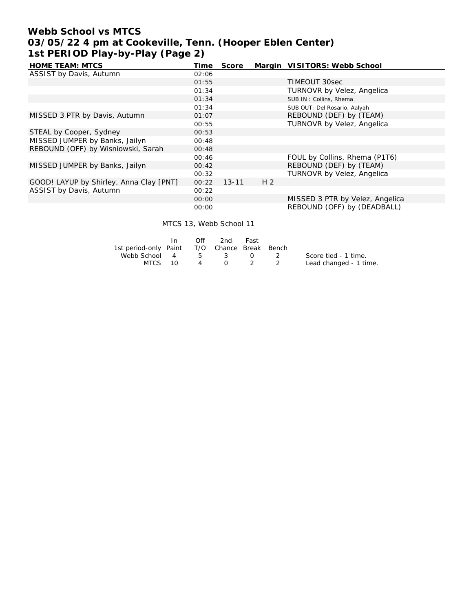# **Webb School vs MTCS 03/05/22 4 pm at Cookeville, Tenn. (Hooper Eblen Center) 1st PERIOD Play-by-Play (Page 2)**

| HOME TEAM: MTCS                         | Time  | Score     |                | Margin VISITORS: Webb School    |
|-----------------------------------------|-------|-----------|----------------|---------------------------------|
| ASSIST by Davis, Autumn                 | 02:06 |           |                |                                 |
|                                         | 01:55 |           |                | TIMEOUT 30sec                   |
|                                         | 01:34 |           |                | TURNOVR by Velez, Angelica      |
|                                         | 01:34 |           |                | SUB IN: Collins, Rhema          |
|                                         | 01:34 |           |                | SUB OUT: Del Rosario, Aalyah    |
| MISSED 3 PTR by Davis, Autumn           | 01:07 |           |                | REBOUND (DEF) by (TEAM)         |
|                                         | 00:55 |           |                | TURNOVR by Velez, Angelica      |
| STEAL by Cooper, Sydney                 | 00:53 |           |                |                                 |
| MISSED JUMPER by Banks, Jailyn          | 00:48 |           |                |                                 |
| REBOUND (OFF) by Wisniowski, Sarah      | 00:48 |           |                |                                 |
|                                         | 00:46 |           |                | FOUL by Collins, Rhema (P1T6)   |
| MISSED JUMPER by Banks, Jailyn          | 00:42 |           |                | REBOUND (DEF) by (TEAM)         |
|                                         | 00:32 |           |                | TURNOVR by Velez, Angelica      |
| GOOD! LAYUP by Shirley, Anna Clay [PNT] | 00:22 | $13 - 11$ | H <sub>2</sub> |                                 |
| ASSIST by Davis, Autumn                 | 00:22 |           |                |                                 |
|                                         | 00:00 |           |                | MISSED 3 PTR by Velez, Angelica |
|                                         | 00:00 |           |                | REBOUND (OFF) by (DEADBALL)     |

MTCS 13, Webb School 11

|                                              | ∩ff | 2nd     | – Fast |                        |
|----------------------------------------------|-----|---------|--------|------------------------|
| 1st period-only Paint T/O Chance Break Bench |     |         |        |                        |
| Webb School 4 5 3 0 2                        |     |         |        | Score tied - 1 time.   |
| MTCS 10                                      |     | 4 0 2 2 |        | Lead changed - 1 time. |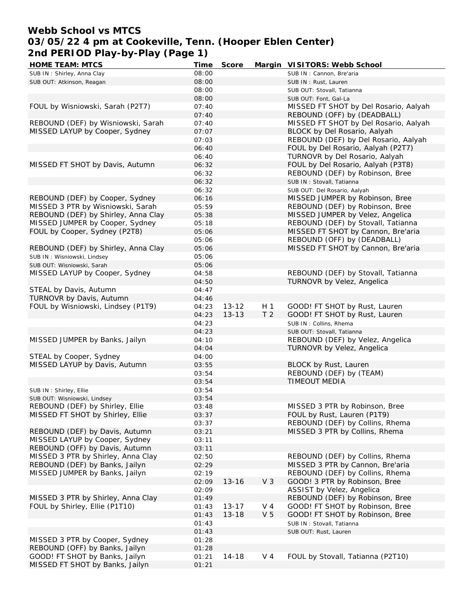# **Webb School vs MTCS 03/05/22 4 pm at Cookeville, Tenn. (Hooper Eblen Center) 2nd PERIOD Play-by-Play (Page 1)**

| HOME TEAM: MTCS                     | Time  | Score     |                | Margin VISITORS: Webb School          |
|-------------------------------------|-------|-----------|----------------|---------------------------------------|
| SUB IN: Shirley, Anna Clay          | 08:00 |           |                | SUB IN: Cannon, Bre'aria              |
| SUB OUT: Atkinson, Reagan           | 08:00 |           |                | SUB IN: Rust, Lauren                  |
|                                     | 08:00 |           |                | SUB OUT: Stovall, Tatianna            |
|                                     | 08:00 |           |                | SUB OUT: Font, Gal-La                 |
| FOUL by Wisniowski, Sarah (P2T7)    | 07:40 |           |                | MISSED FT SHOT by Del Rosario, Aalyah |
|                                     | 07:40 |           |                | REBOUND (OFF) by (DEADBALL)           |
| REBOUND (DEF) by Wisniowski, Sarah  | 07:40 |           |                | MISSED FT SHOT by Del Rosario, Aalyah |
| MISSED LAYUP by Cooper, Sydney      | 07:07 |           |                | BLOCK by Del Rosario, Aalyah          |
|                                     | 07:03 |           |                | REBOUND (DEF) by Del Rosario, Aalyah  |
|                                     | 06:40 |           |                | FOUL by Del Rosario, Aalyah (P2T7)    |
|                                     | 06:40 |           |                | TURNOVR by Del Rosario, Aalyah        |
| MISSED FT SHOT by Davis, Autumn     |       |           |                |                                       |
|                                     | 06:32 |           |                | FOUL by Del Rosario, Aalyah (P3T8)    |
|                                     | 06:32 |           |                | REBOUND (DEF) by Robinson, Bree       |
|                                     | 06:32 |           |                | SUB IN: Stovall, Tatianna             |
|                                     | 06:32 |           |                | SUB OUT: Del Rosario, Aalyah          |
| REBOUND (DEF) by Cooper, Sydney     | 06:16 |           |                | MISSED JUMPER by Robinson, Bree       |
| MISSED 3 PTR by Wisniowski, Sarah   | 05:59 |           |                | REBOUND (DEF) by Robinson, Bree       |
| REBOUND (DEF) by Shirley, Anna Clay | 05:38 |           |                | MISSED JUMPER by Velez, Angelica      |
| MISSED JUMPER by Cooper, Sydney     | 05:18 |           |                | REBOUND (DEF) by Stovall, Tatianna    |
| FOUL by Cooper, Sydney (P2T8)       | 05:06 |           |                | MISSED FT SHOT by Cannon, Bre'aria    |
|                                     | 05:06 |           |                | REBOUND (OFF) by (DEADBALL)           |
| REBOUND (DEF) by Shirley, Anna Clay | 05:06 |           |                | MISSED FT SHOT by Cannon, Bre'aria    |
| SUB IN: Wisniowski, Lindsey         | 05:06 |           |                |                                       |
| SUB OUT: Wisniowski, Sarah          | 05:06 |           |                |                                       |
| MISSED LAYUP by Cooper, Sydney      | 04:58 |           |                | REBOUND (DEF) by Stovall, Tatianna    |
|                                     | 04:50 |           |                | TURNOVR by Velez, Angelica            |
| STEAL by Davis, Autumn              | 04:47 |           |                |                                       |
| TURNOVR by Davis, Autumn            | 04:46 |           |                |                                       |
| FOUL by Wisniowski, Lindsey (P1T9)  | 04:23 | $13 - 12$ | H <sub>1</sub> | GOOD! FT SHOT by Rust, Lauren         |
|                                     | 04:23 | $13 - 13$ | T <sub>2</sub> | GOOD! FT SHOT by Rust, Lauren         |
|                                     | 04:23 |           |                | SUB IN: Collins, Rhema                |
|                                     | 04:23 |           |                | SUB OUT: Stovall, Tatianna            |
| MISSED JUMPER by Banks, Jailyn      | 04:10 |           |                | REBOUND (DEF) by Velez, Angelica      |
|                                     | 04:04 |           |                | TURNOVR by Velez, Angelica            |
| STEAL by Cooper, Sydney             | 04:00 |           |                |                                       |
| MISSED LAYUP by Davis, Autumn       | 03:55 |           |                | BLOCK by Rust, Lauren                 |
|                                     | 03:54 |           |                | REBOUND (DEF) by (TEAM)               |
|                                     | 03:54 |           |                | TIMEOUT MEDIA                         |
|                                     | 03:54 |           |                |                                       |
| SUB IN: Shirley, Ellie              |       |           |                |                                       |
| SUB OUT: Wisniowski, Lindsey        | 03:54 |           |                |                                       |
| REBOUND (DEF) by Shirley, Ellie     | 03:48 |           |                | MISSED 3 PTR by Robinson, Bree        |
| MISSED FT SHOT by Shirley, Ellie    | 03:37 |           |                | FOUL by Rust, Lauren (P1T9)           |
|                                     | 03:37 |           |                | REBOUND (DEF) by Collins, Rhema       |
| REBOUND (DEF) by Davis, Autumn      | 03:21 |           |                | MISSED 3 PTR by Collins, Rhema        |
| MISSED LAYUP by Cooper, Sydney      | 03:11 |           |                |                                       |
| REBOUND (OFF) by Davis, Autumn      | 03:11 |           |                |                                       |
| MISSED 3 PTR by Shirley, Anna Clay  | 02:50 |           |                | REBOUND (DEF) by Collins, Rhema       |
| REBOUND (DEF) by Banks, Jailyn      | 02:29 |           |                | MISSED 3 PTR by Cannon, Bre'aria      |
| MISSED JUMPER by Banks, Jailyn      | 02:19 |           |                | REBOUND (DEF) by Collins, Rhema       |
|                                     | 02:09 | $13 - 16$ | V <sub>3</sub> | GOOD! 3 PTR by Robinson, Bree         |
|                                     | 02:09 |           |                | ASSIST by Velez, Angelica             |
| MISSED 3 PTR by Shirley, Anna Clay  | 01:49 |           |                | REBOUND (DEF) by Robinson, Bree       |
| FOUL by Shirley, Ellie (P1T10)      | 01:43 | $13 - 17$ | V 4            | GOOD! FT SHOT by Robinson, Bree       |
|                                     | 01:43 | $13 - 18$ | V <sub>5</sub> | GOOD! FT SHOT by Robinson, Bree       |
|                                     | 01:43 |           |                | SUB IN: Stovall, Tatianna             |
|                                     | 01:43 |           |                | SUB OUT: Rust, Lauren                 |
| MISSED 3 PTR by Cooper, Sydney      | 01:28 |           |                |                                       |
| REBOUND (OFF) by Banks, Jailyn      | 01:28 |           |                |                                       |
| GOOD! FT SHOT by Banks, Jailyn      | 01:21 | $14 - 18$ | V 4            | FOUL by Stovall, Tatianna (P2T10)     |
| MISSED FT SHOT by Banks, Jailyn     | 01:21 |           |                |                                       |
|                                     |       |           |                |                                       |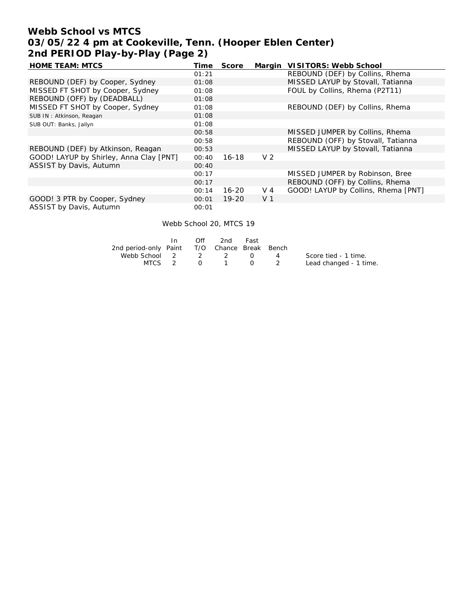# **Webb School vs MTCS 03/05/22 4 pm at Cookeville, Tenn. (Hooper Eblen Center) 2nd PERIOD Play-by-Play (Page 2)**

| <b>HOME TEAM: MTCS</b>                  | Time  | Score     | Margin         | VISITORS: Webb School               |
|-----------------------------------------|-------|-----------|----------------|-------------------------------------|
|                                         | 01:21 |           |                | REBOUND (DEF) by Collins, Rhema     |
| REBOUND (DEF) by Cooper, Sydney         | 01:08 |           |                | MISSED LAYUP by Stovall, Tatianna   |
| MISSED FT SHOT by Cooper, Sydney        | 01:08 |           |                | FOUL by Collins, Rhema (P2T11)      |
| REBOUND (OFF) by (DEADBALL)             | 01:08 |           |                |                                     |
| MISSED FT SHOT by Cooper, Sydney        | 01:08 |           |                | REBOUND (DEF) by Collins, Rhema     |
| SUB IN: Atkinson, Reagan                | 01:08 |           |                |                                     |
| SUB OUT: Banks, Jailyn                  | 01:08 |           |                |                                     |
|                                         | 00:58 |           |                | MISSED JUMPER by Collins, Rhema     |
|                                         | 00:58 |           |                | REBOUND (OFF) by Stovall, Tatianna  |
| REBOUND (DEF) by Atkinson, Reagan       | 00:53 |           |                | MISSED LAYUP by Stovall, Tatianna   |
| GOOD! LAYUP by Shirley, Anna Clay [PNT] | 00:40 | $16 - 18$ | V <sub>2</sub> |                                     |
| ASSIST by Davis, Autumn                 | 00:40 |           |                |                                     |
|                                         | 00:17 |           |                | MISSED JUMPER by Robinson, Bree     |
|                                         | 00:17 |           |                | REBOUND (OFF) by Collins, Rhema     |
|                                         | 00:14 | $16 - 20$ | $V_4$          | GOOD! LAYUP by Collins, Rhema [PNT] |
| GOOD! 3 PTR by Cooper, Sydney           | 00:01 | $19 - 20$ | V <sub>1</sub> |                                     |
| ASSIST by Davis, Autumn                 | 00:01 |           |                |                                     |

Webb School 20, MTCS 19

|                                              | In | Off | 2nd                | Fast |          |                        |
|----------------------------------------------|----|-----|--------------------|------|----------|------------------------|
| 2nd period-only Paint T/O Chance Break Bench |    |     |                    |      |          |                        |
| Webb School 2 2 2 0                          |    |     |                    |      | $\sim$ 4 | Score tied - 1 time.   |
| MTCS 2                                       |    |     | $0 \t 1 \t 0 \t 2$ |      |          | Lead changed - 1 time. |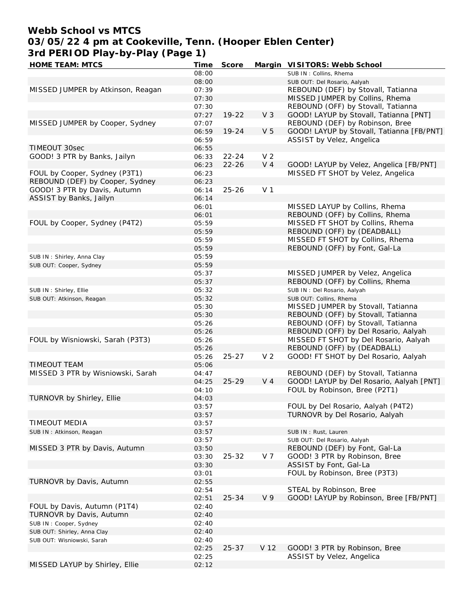# **Webb School vs MTCS 03/05/22 4 pm at Cookeville, Tenn. (Hooper Eblen Center) 3rd PERIOD Play-by-Play (Page 1)**

| HOME TEAM: MTCS                   | Time  | Score     |                | Margin VISITORS: Webb School              |
|-----------------------------------|-------|-----------|----------------|-------------------------------------------|
|                                   | 08:00 |           |                | SUB IN: Collins, Rhema                    |
|                                   | 08:00 |           |                | SUB OUT: Del Rosario, Aalyah              |
| MISSED JUMPER by Atkinson, Reagan | 07:39 |           |                | REBOUND (DEF) by Stovall, Tatianna        |
|                                   | 07:30 |           |                | MISSED JUMPER by Collins, Rhema           |
|                                   | 07:30 |           |                | REBOUND (OFF) by Stovall, Tatianna        |
|                                   | 07:27 | $19 - 22$ | V <sub>3</sub> | GOOD! LAYUP by Stovall, Tatianna [PNT]    |
| MISSED JUMPER by Cooper, Sydney   | 07:07 |           |                | REBOUND (DEF) by Robinson, Bree           |
|                                   | 06:59 | $19 - 24$ | V <sub>5</sub> | GOOD! LAYUP by Stovall, Tatianna [FB/PNT] |
|                                   | 06:59 |           |                | ASSIST by Velez, Angelica                 |
| TIMEOUT 30sec                     | 06:55 |           |                |                                           |
| GOOD! 3 PTR by Banks, Jailyn      | 06:33 | $22 - 24$ | V <sub>2</sub> |                                           |
|                                   |       | $22 - 26$ | V <sub>4</sub> | GOOD! LAYUP by Velez, Angelica [FB/PNT]   |
| FOUL by Cooper, Sydney (P3T1)     | 06:23 |           |                | MISSED FT SHOT by Velez, Angelica         |
|                                   | 06:23 |           |                |                                           |
| REBOUND (DEF) by Cooper, Sydney   | 06:23 |           |                |                                           |
| GOOD! 3 PTR by Davis, Autumn      | 06:14 | $25 - 26$ | V <sub>1</sub> |                                           |
| ASSIST by Banks, Jailyn           | 06:14 |           |                |                                           |
|                                   | 06:01 |           |                | MISSED LAYUP by Collins, Rhema            |
|                                   | 06:01 |           |                | REBOUND (OFF) by Collins, Rhema           |
| FOUL by Cooper, Sydney (P4T2)     | 05:59 |           |                | MISSED FT SHOT by Collins, Rhema          |
|                                   | 05:59 |           |                | REBOUND (OFF) by (DEADBALL)               |
|                                   | 05:59 |           |                | MISSED FT SHOT by Collins, Rhema          |
|                                   | 05:59 |           |                | REBOUND (OFF) by Font, Gal-La             |
| SUB IN: Shirley, Anna Clay        | 05:59 |           |                |                                           |
| SUB OUT: Cooper, Sydney           | 05:59 |           |                |                                           |
|                                   | 05:37 |           |                | MISSED JUMPER by Velez, Angelica          |
|                                   | 05:37 |           |                | REBOUND (OFF) by Collins, Rhema           |
| SUB IN: Shirley, Ellie            | 05:32 |           |                | SUB IN: Del Rosario, Aalyah               |
| SUB OUT: Atkinson, Reagan         | 05:32 |           |                | SUB OUT: Collins, Rhema                   |
|                                   | 05:30 |           |                | MISSED JUMPER by Stovall, Tatianna        |
|                                   | 05:30 |           |                | REBOUND (OFF) by Stovall, Tatianna        |
|                                   | 05:26 |           |                | REBOUND (OFF) by Stovall, Tatianna        |
|                                   | 05:26 |           |                | REBOUND (OFF) by Del Rosario, Aalyah      |
| FOUL by Wisniowski, Sarah (P3T3)  | 05:26 |           |                | MISSED FT SHOT by Del Rosario, Aalyah     |
|                                   | 05:26 |           |                | REBOUND (OFF) by (DEADBALL)               |
|                                   | 05:26 | $25 - 27$ | V <sub>2</sub> | GOOD! FT SHOT by Del Rosario, Aalyah      |
| <b>TIMEOUT TEAM</b>               | 05:06 |           |                |                                           |
| MISSED 3 PTR by Wisniowski, Sarah |       |           |                | REBOUND (DEF) by Stovall, Tatianna        |
|                                   | 04:47 | $25 - 29$ | V <sub>4</sub> |                                           |
|                                   | 04:25 |           |                | GOOD! LAYUP by Del Rosario, Aalyah [PNT]  |
|                                   | 04:10 |           |                | FOUL by Robinson, Bree (P2T1)             |
| TURNOVR by Shirley, Ellie         | 04:03 |           |                |                                           |
|                                   | 03:57 |           |                | FOUL by Del Rosario, Aalyah (P4T2)        |
|                                   | 03:57 |           |                | TURNOVR by Del Rosario, Aalyah            |
| TIMEOUT MEDIA                     | 03:57 |           |                |                                           |
| SUB IN: Atkinson, Reagan          | 03:57 |           |                | SUB IN: Rust, Lauren                      |
|                                   | 03:57 |           |                | SUB OUT: Del Rosario, Aalyah              |
| MISSED 3 PTR by Davis, Autumn     | 03:50 |           |                | REBOUND (DEF) by Font, Gal-La             |
|                                   | 03:30 | $25 - 32$ | V 7            | GOOD! 3 PTR by Robinson, Bree             |
|                                   | 03:30 |           |                | ASSIST by Font, Gal-La                    |
|                                   | 03:01 |           |                | FOUL by Robinson, Bree (P3T3)             |
| TURNOVR by Davis, Autumn          | 02:55 |           |                |                                           |
|                                   | 02:54 |           |                | STEAL by Robinson, Bree                   |
|                                   | 02:51 | $25 - 34$ | V <sub>9</sub> | GOOD! LAYUP by Robinson, Bree [FB/PNT]    |
| FOUL by Davis, Autumn (P1T4)      | 02:40 |           |                |                                           |
| TURNOVR by Davis, Autumn          | 02:40 |           |                |                                           |
| SUB IN: Cooper, Sydney            | 02:40 |           |                |                                           |
| SUB OUT: Shirley, Anna Clay       | 02:40 |           |                |                                           |
| SUB OUT: Wisniowski, Sarah        | 02:40 |           |                |                                           |
|                                   |       |           |                |                                           |
|                                   | 02:25 | $25 - 37$ | V 12           | GOOD! 3 PTR by Robinson, Bree             |
|                                   | 02:25 |           |                | ASSIST by Velez, Angelica                 |
| MISSED LAYUP by Shirley, Ellie    | 02:12 |           |                |                                           |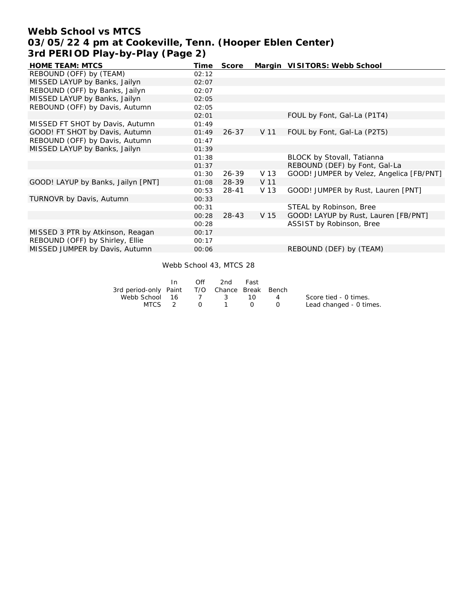## **Webb School vs MTCS 03/05/22 4 pm at Cookeville, Tenn. (Hooper Eblen Center) 3rd PERIOD Play-by-Play (Page 2)**

| <b>HOME TEAM: MTCS</b>             | Time  | Score     |      | Margin VISITORS: Webb School             |
|------------------------------------|-------|-----------|------|------------------------------------------|
| REBOUND (OFF) by (TEAM)            | 02:12 |           |      |                                          |
| MISSED LAYUP by Banks, Jailyn      | 02:07 |           |      |                                          |
| REBOUND (OFF) by Banks, Jailyn     | 02:07 |           |      |                                          |
| MISSED LAYUP by Banks, Jailyn      | 02:05 |           |      |                                          |
| REBOUND (OFF) by Davis, Autumn     | 02:05 |           |      |                                          |
|                                    | 02:01 |           |      | FOUL by Font, Gal-La (P1T4)              |
| MISSED FT SHOT by Davis, Autumn    | 01:49 |           |      |                                          |
| GOOD! FT SHOT by Davis, Autumn     | 01:49 | $26 - 37$ | V 11 | FOUL by Font, Gal-La (P2T5)              |
| REBOUND (OFF) by Davis, Autumn     | 01:47 |           |      |                                          |
| MISSED LAYUP by Banks, Jailyn      | 01:39 |           |      |                                          |
|                                    | 01:38 |           |      | BLOCK by Stovall, Tatianna               |
|                                    | 01:37 |           |      | REBOUND (DEF) by Font, Gal-La            |
|                                    | 01:30 | $26 - 39$ | V 13 | GOOD! JUMPER by Velez, Angelica [FB/PNT] |
| GOOD! LAYUP by Banks, Jailyn [PNT] | 01:08 | $28 - 39$ | V 11 |                                          |
|                                    | 00:53 | 28-41     | V 13 | GOOD! JUMPER by Rust, Lauren [PNT]       |
| TURNOVR by Davis, Autumn           | 00:33 |           |      |                                          |
|                                    | 00:31 |           |      | STEAL by Robinson, Bree                  |
|                                    | 00:28 | $28 - 43$ | V 15 | GOOD! LAYUP by Rust, Lauren [FB/PNT]     |
|                                    | 00:28 |           |      | ASSIST by Robinson, Bree                 |
| MISSED 3 PTR by Atkinson, Reagan   | 00:17 |           |      |                                          |
| REBOUND (OFF) by Shirley, Ellie    | 00:17 |           |      |                                          |
| MISSED JUMPER by Davis, Autumn     | 00:06 |           |      | REBOUND (DEF) by (TEAM)                  |

Webb School 43, MTCS 28

|                                              | In. | Off      | 2nd      | Fast      |          |                         |
|----------------------------------------------|-----|----------|----------|-----------|----------|-------------------------|
| 3rd period-only Paint T/O Chance Break Bench |     |          |          |           |          |                         |
| Webb School 16 7 3                           |     |          |          | - 10 -    | 4        | Score tied - 0 times.   |
| MTCS 2                                       |     | $\Omega$ | $\sim$ 1 | $\bigcup$ | $\sim$ 0 | Lead changed - 0 times. |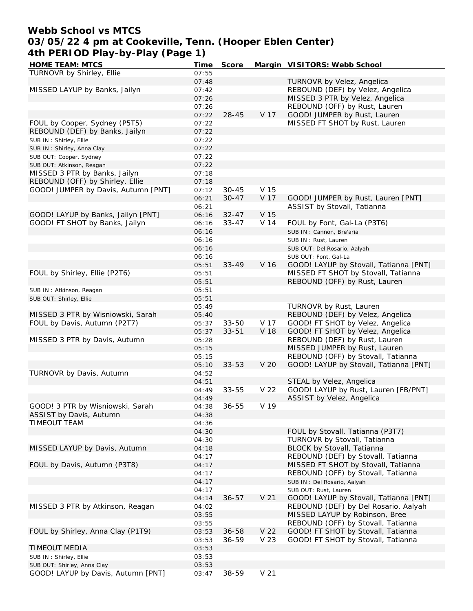### **Webb School vs MTCS 03/05/22 4 pm at Cookeville, Tenn. (Hooper Eblen Center) 4th PERIOD Play-by-Play (Page 1)**<br>HOME TEAM: MTCS **HOME TEAM: MTCS Time Score Margin VISITORS: Webb School**

| HOME TEAM: MTCS                     | Time  | Score     |                 | Margin VISITORS: Webb School           |
|-------------------------------------|-------|-----------|-----------------|----------------------------------------|
| TURNOVR by Shirley, Ellie           | 07:55 |           |                 |                                        |
|                                     | 07:48 |           |                 | TURNOVR by Velez, Angelica             |
| MISSED LAYUP by Banks, Jailyn       | 07:42 |           |                 | REBOUND (DEF) by Velez, Angelica       |
|                                     | 07:26 |           |                 | MISSED 3 PTR by Velez, Angelica        |
|                                     | 07:26 |           |                 | REBOUND (OFF) by Rust, Lauren          |
|                                     | 07:22 | $28 - 45$ | V 17            | GOOD! JUMPER by Rust, Lauren           |
|                                     |       |           |                 |                                        |
| FOUL by Cooper, Sydney (P5T5)       | 07:22 |           |                 | MISSED FT SHOT by Rust, Lauren         |
| REBOUND (DEF) by Banks, Jailyn      | 07:22 |           |                 |                                        |
| SUB IN: Shirley, Ellie              | 07:22 |           |                 |                                        |
| SUB IN: Shirley, Anna Clay          | 07:22 |           |                 |                                        |
| SUB OUT: Cooper, Sydney             | 07:22 |           |                 |                                        |
| SUB OUT: Atkinson, Reagan           | 07:22 |           |                 |                                        |
| MISSED 3 PTR by Banks, Jailyn       | 07:18 |           |                 |                                        |
| REBOUND (OFF) by Shirley, Ellie     | 07:18 |           |                 |                                        |
| GOOD! JUMPER by Davis, Autumn [PNT] | 07:12 | $30 - 45$ | V 15            |                                        |
|                                     | 06:21 | $30 - 47$ | V 17            | GOOD! JUMPER by Rust, Lauren [PNT]     |
|                                     |       |           |                 |                                        |
|                                     | 06:21 |           |                 | ASSIST by Stovall, Tatianna            |
| GOOD! LAYUP by Banks, Jailyn [PNT]  | 06:16 | $32 - 47$ | V 15            |                                        |
| GOOD! FT SHOT by Banks, Jailyn      | 06:16 | $33 - 47$ | V 14            | FOUL by Font, Gal-La (P3T6)            |
|                                     | 06:16 |           |                 | SUB IN: Cannon, Bre'aria               |
|                                     | 06:16 |           |                 | SUB IN: Rust, Lauren                   |
|                                     | 06:16 |           |                 | SUB OUT: Del Rosario, Aalyah           |
|                                     | 06:16 |           |                 | SUB OUT: Font, Gal-La                  |
|                                     | 05:51 | $33 - 49$ | V 16            | GOOD! LAYUP by Stovall, Tatianna [PNT] |
| FOUL by Shirley, Ellie (P2T6)       | 05:51 |           |                 | MISSED FT SHOT by Stovall, Tatianna    |
|                                     |       |           |                 | REBOUND (OFF) by Rust, Lauren          |
|                                     | 05:51 |           |                 |                                        |
| SUB IN: Atkinson, Reagan            | 05:51 |           |                 |                                        |
| SUB OUT: Shirley, Ellie             | 05:51 |           |                 |                                        |
|                                     | 05:49 |           |                 | TURNOVR by Rust, Lauren                |
| MISSED 3 PTR by Wisniowski, Sarah   | 05:40 |           |                 | REBOUND (DEF) by Velez, Angelica       |
| FOUL by Davis, Autumn (P2T7)        | 05:37 | $33 - 50$ | V 17            | GOOD! FT SHOT by Velez, Angelica       |
|                                     | 05:37 | $33 - 51$ | V 18            | GOOD! FT SHOT by Velez, Angelica       |
| MISSED 3 PTR by Davis, Autumn       | 05:28 |           |                 | REBOUND (DEF) by Rust, Lauren          |
|                                     | 05:15 |           |                 | MISSED JUMPER by Rust, Lauren          |
|                                     | 05:15 |           |                 | REBOUND (OFF) by Stovall, Tatianna     |
|                                     | 05:10 | $33 - 53$ | V 20            | GOOD! LAYUP by Stovall, Tatianna [PNT] |
|                                     |       |           |                 |                                        |
| TURNOVR by Davis, Autumn            | 04:52 |           |                 |                                        |
|                                     | 04:51 |           |                 | STEAL by Velez, Angelica               |
|                                     | 04:49 | $33 - 55$ | V 22            | GOOD! LAYUP by Rust, Lauren [FB/PNT]   |
|                                     | 04:49 |           |                 | ASSIST by Velez, Angelica              |
| GOOD! 3 PTR by Wisniowski, Sarah    | 04:38 | $36 - 55$ | V 19            |                                        |
| ASSIST by Davis, Autumn             | 04:38 |           |                 |                                        |
| TIMEOUT TEAM                        | 04:36 |           |                 |                                        |
|                                     | 04:30 |           |                 | FOUL by Stovall, Tatianna (P3T7)       |
|                                     | 04:30 |           |                 | TURNOVR by Stovall, Tatianna           |
| MISSED LAYUP by Davis, Autumn       | 04:18 |           |                 | BLOCK by Stovall, Tatianna             |
|                                     | 04:17 |           |                 | REBOUND (DEF) by Stovall, Tatianna     |
|                                     |       |           |                 |                                        |
| FOUL by Davis, Autumn (P3T8)        | 04:17 |           |                 | MISSED FT SHOT by Stovall, Tatianna    |
|                                     | 04:17 |           |                 | REBOUND (OFF) by Stovall, Tatianna     |
|                                     | 04:17 |           |                 | SUB IN: Del Rosario, Aalyah            |
|                                     | 04:17 |           |                 | SUB OUT: Rust, Lauren                  |
|                                     | 04:14 | $36 - 57$ | V <sub>21</sub> | GOOD! LAYUP by Stovall, Tatianna [PNT] |
| MISSED 3 PTR by Atkinson, Reagan    | 04:02 |           |                 | REBOUND (DEF) by Del Rosario, Aalyah   |
|                                     | 03:55 |           |                 | MISSED LAYUP by Robinson, Bree         |
|                                     | 03:55 |           |                 | REBOUND (OFF) by Stovall, Tatianna     |
| FOUL by Shirley, Anna Clay (P1T9)   | 03:53 | 36-58     | V 22            | GOOD! FT SHOT by Stovall, Tatianna     |
|                                     | 03:53 | $36 - 59$ | V 23            | GOOD! FT SHOT by Stovall, Tatianna     |
| TIMEOUT MEDIA                       | 03:53 |           |                 |                                        |
| SUB IN: Shirley, Ellie              | 03:53 |           |                 |                                        |
| SUB OUT: Shirley, Anna Clay         | 03:53 |           |                 |                                        |
|                                     |       |           | V <sub>21</sub> |                                        |
| GOOD! LAYUP by Davis, Autumn [PNT]  | 03:47 | 38-59     |                 |                                        |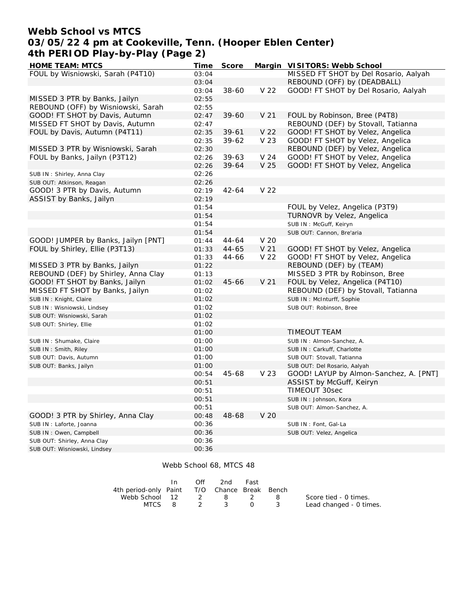## **Webb School vs MTCS 03/05/22 4 pm at Cookeville, Tenn. (Hooper Eblen Center) 4th PERIOD Play-by-Play (Page 2)**

| <b>HOME TEAM: MTCS</b>              | Time  | Score     |                 | Margin VISITORS: Webb School           |
|-------------------------------------|-------|-----------|-----------------|----------------------------------------|
| FOUL by Wisniowski, Sarah (P4T10)   | 03:04 |           |                 | MISSED FT SHOT by Del Rosario, Aalyah  |
|                                     | 03:04 |           |                 | REBOUND (OFF) by (DEADBALL)            |
|                                     | 03:04 | $38 - 60$ | V <sub>22</sub> | GOOD! FT SHOT by Del Rosario, Aalyah   |
| MISSED 3 PTR by Banks, Jailyn       | 02:55 |           |                 |                                        |
| REBOUND (OFF) by Wisniowski, Sarah  | 02:55 |           |                 |                                        |
| GOOD! FT SHOT by Davis, Autumn      | 02:47 | 39-60     | V <sub>21</sub> | FOUL by Robinson, Bree (P4T8)          |
| MISSED FT SHOT by Davis, Autumn     | 02:47 |           |                 | REBOUND (DEF) by Stovall, Tatianna     |
| FOUL by Davis, Autumn (P4T11)       | 02:35 | $39 - 61$ | V <sub>22</sub> | GOOD! FT SHOT by Velez, Angelica       |
|                                     | 02:35 | 39-62     | V 23            | GOOD! FT SHOT by Velez, Angelica       |
| MISSED 3 PTR by Wisniowski, Sarah   | 02:30 |           |                 | REBOUND (DEF) by Velez, Angelica       |
| FOUL by Banks, Jailyn (P3T12)       | 02:26 | $39 - 63$ | V <sub>24</sub> | GOOD! FT SHOT by Velez, Angelica       |
|                                     | 02:26 | 39-64     | V <sub>25</sub> | GOOD! FT SHOT by Velez, Angelica       |
| SUB IN: Shirley, Anna Clay          | 02:26 |           |                 |                                        |
| SUB OUT: Atkinson, Reagan           | 02:26 |           |                 |                                        |
| GOOD! 3 PTR by Davis, Autumn        | 02:19 | $42 - 64$ | V 22            |                                        |
| ASSIST by Banks, Jailyn             | 02:19 |           |                 |                                        |
|                                     | 01:54 |           |                 | FOUL by Velez, Angelica (P3T9)         |
|                                     | 01:54 |           |                 | TURNOVR by Velez, Angelica             |
|                                     | 01:54 |           |                 | SUB IN: McGuff, Keiryn                 |
|                                     | 01:54 |           |                 | SUB OUT: Cannon, Bre'aria              |
| GOOD! JUMPER by Banks, Jailyn [PNT] | 01:44 | 44-64     | V <sub>20</sub> |                                        |
| FOUL by Shirley, Ellie (P3T13)      | 01:33 | $44 - 65$ | V <sub>21</sub> | GOOD! FT SHOT by Velez, Angelica       |
|                                     | 01:33 | 44-66     | V 22            | GOOD! FT SHOT by Velez, Angelica       |
| MISSED 3 PTR by Banks, Jailyn       | 01:22 |           |                 | REBOUND (DEF) by (TEAM)                |
| REBOUND (DEF) by Shirley, Anna Clay | 01:13 |           |                 | MISSED 3 PTR by Robinson, Bree         |
| GOOD! FT SHOT by Banks, Jailyn      | 01:02 | 45-66     | V <sub>21</sub> | FOUL by Velez, Angelica (P4T10)        |
| MISSED FT SHOT by Banks, Jailyn     | 01:02 |           |                 | REBOUND (DEF) by Stovall, Tatianna     |
| SUB IN: Knight, Claire              | 01:02 |           |                 | SUB IN: McInturff, Sophie              |
| SUB IN: Wisniowski, Lindsey         | 01:02 |           |                 | SUB OUT: Robinson, Bree                |
| SUB OUT: Wisniowski, Sarah          | 01:02 |           |                 |                                        |
| SUB OUT: Shirley, Ellie             | 01:02 |           |                 |                                        |
|                                     | 01:00 |           |                 | <b>TIMEOUT TEAM</b>                    |
| SUB IN: Shumake, Claire             | 01:00 |           |                 | SUB IN: Almon-Sanchez, A.              |
| SUB IN: Smith, Riley                | 01:00 |           |                 | SUB IN: Carkuff, Charlotte             |
| SUB OUT: Davis, Autumn              | 01:00 |           |                 | SUB OUT: Stovall, Tatianna             |
| SUB OUT: Banks, Jailyn              | 01:00 |           |                 | SUB OUT: Del Rosario, Aalyah           |
|                                     | 00:54 | 45-68     | V 23            | GOOD! LAYUP by Almon-Sanchez, A. [PNT] |
|                                     | 00:51 |           |                 | ASSIST by McGuff, Keiryn               |
|                                     | 00:51 |           |                 | TIMEOUT 30sec                          |
|                                     | 00:51 |           |                 | SUB IN: Johnson, Kora                  |
|                                     | 00:51 |           |                 | SUB OUT: Almon-Sanchez, A.             |
| GOOD! 3 PTR by Shirley, Anna Clay   | 00:48 | 48-68     | V 20            |                                        |
| SUB IN: Laforte, Joanna             | 00:36 |           |                 | SUB IN: Font, Gal-La                   |
| SUB IN: Owen, Campbell              | 00:36 |           |                 | SUB OUT: Velez, Angelica               |
| SUB OUT: Shirley, Anna Clay         | 00:36 |           |                 |                                        |
| SUB OUT: Wisniowski, Lindsey        | 00:36 |           |                 |                                        |

#### Webb School 68, MTCS 48

|                                              | $\mathsf{In}$ | Off | 2nd          | Fast |         |                         |
|----------------------------------------------|---------------|-----|--------------|------|---------|-------------------------|
| 4th period-only Paint T/O Chance Break Bench |               |     |              |      |         |                         |
| Webb School 12 2 8 2                         |               |     |              |      | - 8 - 8 | Score tied - 0 times.   |
|                                              |               |     | MTCS 8 2 3 0 |      | - 3 - 3 | Lead changed - 0 times. |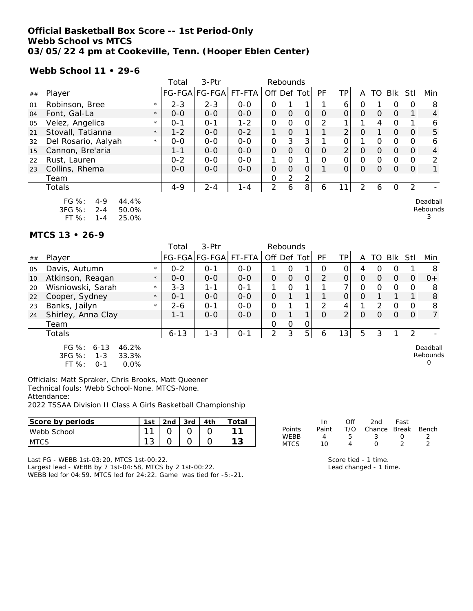### **Official Basketball Box Score -- 1st Period-Only Webb School vs MTCS 03/05/22 4 pm at Cookeville, Tenn. (Hooper Eblen Center)**

**Webb School 11 • 29-6**

|    |                                                                                    |         | Total   | $3-Ptr$               |         | Rebounds       |          |                |               |                |          |          |             |             |                      |
|----|------------------------------------------------------------------------------------|---------|---------|-----------------------|---------|----------------|----------|----------------|---------------|----------------|----------|----------|-------------|-------------|----------------------|
| ## | Player                                                                             |         |         | FG-FGA FG-FGA  FT-FTA |         | Off Def Tot    |          |                | PF            | TP             | A        |          | TO Blk      | <b>Stll</b> | Min                  |
| 01 | Robinson, Bree                                                                     | $\star$ | $2 - 3$ | $2 - 3$               | $O-O$   | Ο              |          |                |               | 6              | O        |          | O           |             | 8                    |
| 04 | Font, Gal-La                                                                       | $\star$ | $O - O$ | $O - O$               | $0 - 0$ | $\Omega$       | $\Omega$ | $\Omega$       | $\Omega$      | $\Omega$       | $\Omega$ | $\Omega$ | $\Omega$    |             | 4                    |
| 05 | Velez, Angelica                                                                    | $\star$ | $O - 1$ | $0 - 1$               | $1 - 2$ | 0              | 0        | O              | $\mathcal{P}$ |                |          | 4        | $\Omega$    |             | 6                    |
| 21 | Stovall, Tatianna                                                                  | $\star$ | $1 - 2$ | $O - O$               | $0 - 2$ |                | $\Omega$ |                |               | $\overline{2}$ | $\Omega$ |          | $\Omega$    | $\Omega$    | 5                    |
| 32 | Del Rosario, Aalyah                                                                | $\star$ | $O - O$ | $0 - 0$               | $O-O$   | 0              | 3        | 3              |               | Ο              |          | $\Omega$ | $\Omega$    | 0           | 6                    |
| 15 | Cannon, Bre'aria                                                                   |         | $1 - 1$ | $O - O$               | $O - O$ | $\overline{O}$ | $\Omega$ | $\Omega$       | Ο             | $\overline{2}$ | $\Omega$ | $\Omega$ | $\mathbf 0$ | $\Omega$    | 4                    |
| 22 | Rust, Lauren                                                                       |         | $0 - 2$ | $O-O$                 | $0 - 0$ |                | $\Omega$ |                | O             | Ο              | $\Omega$ | $\Omega$ | $\Omega$    |             | 2                    |
| 23 | Collins, Rhema                                                                     |         | $O - O$ | $O - O$               | $O - O$ | $\Omega$       | $\Omega$ | 0              |               | O              | $\Omega$ | $\Omega$ | $\Omega$    | 0           |                      |
|    | Team                                                                               |         |         |                       |         | 0              | 2        | 2              |               |                |          |          |             |             |                      |
|    | Totals                                                                             |         | $4 - 9$ | 2-4                   | $1 - 4$ | $\overline{2}$ | 6        | 8 <sup>1</sup> | 6             | 11             | 2        | 6        | $\Omega$    | 2           |                      |
|    | $FG \%$ :<br>44.4%<br>$4 - 9$<br>3FG %:<br>$2 - 4$<br>50.0%<br>FT%<br>25.0%<br>1-4 |         |         |                       |         |                |          |                |               |                |          |          |             |             | Deadball<br>Rebounds |

#### **MTCS 13 • 26-9**

|    |                                                                                            |         | Total    | 3-Ptr                 |         | Rebounds      |          |                |               |                |          |               |                |                |                                  |
|----|--------------------------------------------------------------------------------------------|---------|----------|-----------------------|---------|---------------|----------|----------------|---------------|----------------|----------|---------------|----------------|----------------|----------------------------------|
| ## | Player                                                                                     |         |          | FG-FGA FG-FGA  FT-FTA |         | Off Def Tot   |          |                | PF            | TP             | A        | TO.           | Blk Stl        |                | Min                              |
| 05 | Davis, Autumn                                                                              | $\star$ | $0 - 2$  | $O - 1$               | $0 - 0$ |               | Ο        |                | O             | $\Omega$       | 4        | Ω             | O              |                | 8                                |
| 10 | Atkinson, Reagan                                                                           | $\star$ | $O - O$  | $0 - 0$               | $0 - 0$ | $\Omega$      | $\Omega$ | $\overline{O}$ | 2             | $\overline{O}$ | $\Omega$ | $\Omega$      | $\overline{0}$ | ΟI             | $0+$                             |
| 20 | Wisniowski, Sarah                                                                          | $\star$ | $3 - 3$  | $1 - 1$               | $0 - 1$ |               | $\Omega$ |                |               |                | 0        | $\Omega$      | $\circ$        | 0              | 8                                |
| 22 | Cooper, Sydney                                                                             | $\star$ | $0 - 1$  | $0-0$                 | $0-0$   | $\mathcal{O}$ |          |                |               | $\Omega$       | $\Omega$ |               |                |                | 8                                |
| 23 | Banks, Jailyn                                                                              | $\star$ | $2 - 6$  | $O - 1$               | $O-O$   | O             |          | $\mathbf 1$    | $\mathcal{P}$ | 4              |          | $\mathcal{P}$ | $\Omega$       | 0              | 8                                |
| 24 | Shirley, Anna Clay                                                                         |         | $1 - 1$  | $O - O$               | $0 - 0$ | $\Omega$      |          | $\mathbf{1}$   | $\Omega$      | $\overline{2}$ | $\Omega$ | $\Omega$      | $\Omega$       | $\Omega$       | $\overline{7}$                   |
|    | Team                                                                                       |         |          |                       |         | 0             | 0        | 0              |               |                |          |               |                |                |                                  |
|    | Totals                                                                                     |         | $6 - 13$ | $1 - 3$               | $0 - 1$ | 2             | 3        | 5              | 6             | 13             | 5        | 3             |                | $\overline{2}$ |                                  |
|    | $FG \%$ :<br>$6 - 13$<br>46.2%<br>3FG %:<br>33.3%<br>$1 - 3$<br>$FT%$ :<br>0.0%<br>$O - 1$ |         |          |                       |         |               |          |                |               |                |          |               |                |                | Deadball<br>Rebounds<br>$\Omega$ |

Officials: Matt Spraker, Chris Brooks, Matt Queener Technical fouls: Webb School-None. MTCS-None. Attendance:

2022 TSSAA Division II Class A Girls Basketball Championship

| Score by periods      | 1st           | 2nd | 3rd | 4th | ~otal  |                     | In    | Off | 2nd    | Fast         |       |
|-----------------------|---------------|-----|-----|-----|--------|---------------------|-------|-----|--------|--------------|-------|
| <b>Webb</b><br>School | $\sim$        |     |     |     | -11    | Points              | Paint | T/C | Chance | <b>Break</b> | Bench |
| <b>MTCS</b>           | $\Omega$<br>J |     |     |     | $\sim$ | WEBB<br><b>MTCS</b> |       |     |        |              |       |

Last FG - WEBB 1st-03:20, MTCS 1st-00:22.

Largest lead - WEBB by 7 1st-04:58, MTCS by 2 1st-00:22. WEBB led for 04:59. MTCS led for 24:22. Game was tied for -5:-21. Score tied - 1 time. Lead changed - 1 time.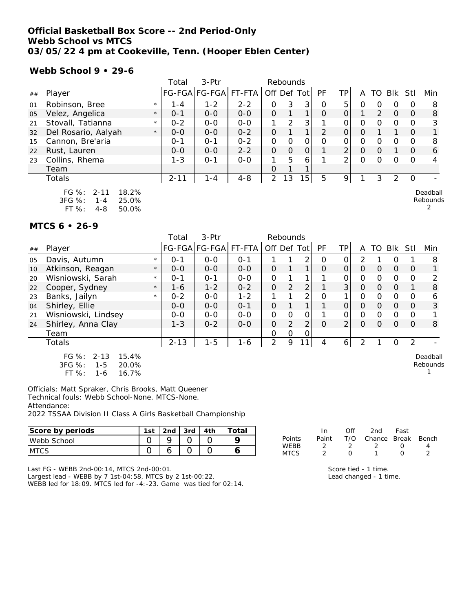### **Official Basketball Box Score -- 2nd Period-Only Webb School vs MTCS 03/05/22 4 pm at Cookeville, Tenn. (Hooper Eblen Center)**

#### **Webb School 9 • 29-6**

|    |                                                                                           |         | Total    | 3-Ptr         |         |                | Rebounds      |               |          |                |             |          |                |                |                      |
|----|-------------------------------------------------------------------------------------------|---------|----------|---------------|---------|----------------|---------------|---------------|----------|----------------|-------------|----------|----------------|----------------|----------------------|
| ## | Player                                                                                    |         |          | FG-FGA FG-FGA | FT-FTA  |                |               | Off Def Tot   | PF       | TPI            | A           | TO.      | Blk            | Stll           | Min                  |
| 01 | Robinson, Bree                                                                            | $\star$ | $1 - 4$  | $1 - 2$       | $2 - 2$ | 0              | 3             | 3             | 0        | 5.             | O           | 0        | 0              | $\overline{O}$ | 8                    |
| 05 | Velez, Angelica                                                                           | $\star$ | $0 - 1$  | $0 - 0$       | $0 - 0$ | $\Omega$       |               | $\mathbf 1$   | $\Omega$ | 0              |             | 2        | $\overline{0}$ | 0              | 8                    |
| 21 | Stovall, Tatianna                                                                         | $\star$ | $0 - 2$  | $O-O$         | $O-O$   | 1              | $\mathcal{P}$ | 3             |          | 0              | $\Omega$    | $\Omega$ | $\mathcal{O}$  | 0              | 3                    |
| 32 | Del Rosario, Aalyah                                                                       | $\star$ | $O - O$  | $O - O$       | $0 - 2$ | $\Omega$       |               | $\mathbf{1}$  | 2        | $\Omega$       | O           |          |                | 0              |                      |
| 15 | Cannon, Bre'aria                                                                          |         | $0 - 1$  | $O - 1$       | $0 - 2$ | 0              | $\Omega$      | 0             | O        | $\Omega$       | $\mathbf 0$ | $\Omega$ | $\circ$        | O.             | 8                    |
| 22 | Rust, Lauren                                                                              |         | $O - O$  | $O-O$         | $2 - 2$ | $\Omega$       | $\mathbf{O}$  | $\mathcal{O}$ |          | 2              | $\Omega$    | $\Omega$ | 1              | $\overline{O}$ | 6                    |
| 23 | Collins, Rhema                                                                            |         | $1 - 3$  | $O - 1$       | $O-O$   |                | 5             | 6             |          | $\mathfrak{D}$ | $\Omega$    | 0        | $\mathbf 0$    | $\Omega$       | 4                    |
|    | Team                                                                                      |         |          |               |         | O              |               |               |          |                |             |          |                |                |                      |
|    | Totals                                                                                    |         | $2 - 11$ | $1 - 4$       | $4 - 8$ | $\overline{2}$ | 13            | 15            | 5        | 9              |             | 3        | 2              | $\overline{O}$ |                      |
|    | $FG \%$ :<br>$2 - 11$<br>18.2%<br>3FG %:<br>25.0%<br>$1 - 4$<br>FT %:<br>50.0%<br>$4 - 8$ |         |          |               |         |                |               |               |          |                |             |          |                |                | Deadball<br>Rebounds |

#### **MTCS 6 • 26-9**

|    |                                                                                       | Total    | $3-$ Ptr              |         | Rebounds    |          |                |          |                |              |          |                |      |                      |
|----|---------------------------------------------------------------------------------------|----------|-----------------------|---------|-------------|----------|----------------|----------|----------------|--------------|----------|----------------|------|----------------------|
| ## | Player                                                                                |          | FG-FGA FG-FGA  FT-FTA |         | Off Def Tot |          |                | PF       | TPI            | A            | TO       | Blk            | Stll | Min                  |
| 05 | Davis, Autumn<br>$\star$                                                              | $O - 1$  | $0 - 0$               | $O - 1$ |             |          | 2              | Ο        | 0              | 2            |          | 0              |      | 8                    |
| 10 | Atkinson, Reagan<br>$\star$                                                           | $O - O$  | $O - O$               | $O - O$ | 0           |          | 1.             | $\Omega$ | $\Omega$       | $\Omega$     | $\Omega$ | $\mathbf 0$    | 0    |                      |
| 20 | Wisniowski, Sarah<br>$\star$                                                          | $0 - 1$  | $0 - 1$               | $0 - 0$ | 0           |          | 1              |          | 0              | $\Omega$     | $\Omega$ | $\mathbf 0$    | Ο    | 2                    |
| 22 | Cooper, Sydney<br>$\star$                                                             | $1 - 6$  | $1 - 2$               | $0 - 2$ | $\Omega$    | 2        | $\overline{2}$ |          | 3 <sup>1</sup> | $\mathbf{O}$ | $\Omega$ | $\overline{0}$ |      | 8                    |
| 23 | Banks, Jailyn<br>$\star$                                                              | $0 - 2$  | $0 - 0$               | $1 - 2$ |             |          | 2              | O        | 1              | $\Omega$     | $\Omega$ | 0              | Ω    | 6                    |
| 04 | Shirley, Ellie                                                                        | $0 - 0$  | $0 - 0$               | $0 - 1$ | $\Omega$    |          | 1              |          | $\Omega$       | $\Omega$     | $\Omega$ | $\mathbf 0$    | 0    | 3                    |
| 21 | Wisniowski, Lindsey                                                                   | $0 - 0$  | $0 - 0$               | $0 - 0$ | $\Omega$    | $\Omega$ | 0              |          | 0              | $\Omega$     | $\Omega$ | $\mathbf 0$    | Ω    |                      |
| 24 | Shirley, Anna Clay                                                                    | $1 - 3$  | $0 - 2$               | $0 - 0$ | 0           | 2        | $\overline{2}$ | O        | $\overline{2}$ | $\Omega$     | 0        | $\Omega$       | Ο    | 8                    |
|    | Team                                                                                  |          |                       |         | 0           | 0        | 0              |          |                |              |          |                |      |                      |
|    | Totals                                                                                | $2 - 13$ | $1 - 5$               | 1-6     | 2           | 9        | 11             | 4        | 6              | 2            |          | 0              | 2    |                      |
|    | FG $\%$ :<br>$2 - 13$<br>15.4%<br>3FG %:<br>$1 - 5$<br>20.0%<br>FT %:<br>16.7%<br>1-6 |          |                       |         |             |          |                |          |                |              |          |                |      | Deadball<br>Rebounds |

Officials: Matt Spraker, Chris Brooks, Matt Queener Technical fouls: Webb School-None. MTCS-None. Attendance: 2022 TSSAA Division II Class A Girls Basketball Championship

| Score by periods | 1st | 2 <sub>nd</sub> | 2rd | 4th | 'otai |                            |
|------------------|-----|-----------------|-----|-----|-------|----------------------------|
| Webb School      |     |                 |     |     |       | Points                     |
| <b>MTCS</b>      |     | ີ               |     |     |       | <b>WEBB</b><br><b>MTCS</b> |

Last FG - WEBB 2nd-00:14, MTCS 2nd-00:01.

Largest lead - WEBB by 7 1st-04:58, MTCS by 2 1st-00:22.

WEBB led for 18:09. MTCS led for -4:-23. Game was tied for 02:14.

|        | In    | ∩ff | 2nd                    | Fast             |  |
|--------|-------|-----|------------------------|------------------|--|
| Points | Paint |     | T/O Chance Break Bench |                  |  |
| WFBB   |       |     |                        | $\left( \right)$ |  |
| MTCS   |       |     |                        | $\left( \right)$ |  |

Score tied - 1 time. Lead changed - 1 time.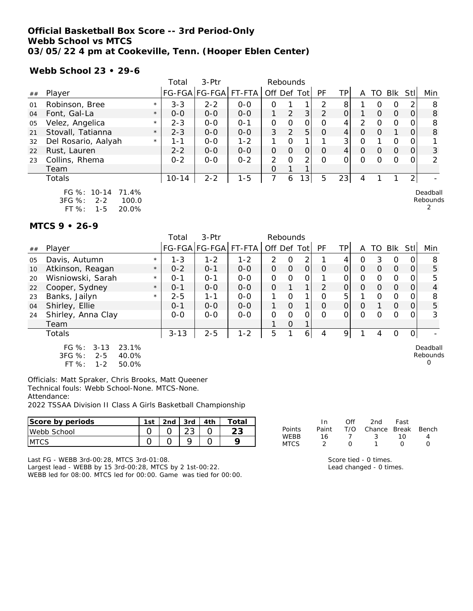### **Official Basketball Box Score -- 3rd Period-Only Webb School vs MTCS 03/05/22 4 pm at Cookeville, Tenn. (Hooper Eblen Center)**

**Webb School 23 • 29-6**

|    |                                                                               |         | Total     | 3-Ptr         |         | Rebounds    |          |                |                |                 |          |          |                |                |                      |
|----|-------------------------------------------------------------------------------|---------|-----------|---------------|---------|-------------|----------|----------------|----------------|-----------------|----------|----------|----------------|----------------|----------------------|
| ## | Player                                                                        |         |           | FG-FGA FG-FGA | FT-FTA  | Off Def Tot |          |                | PF             | TPI             | A        | TO       | <b>BIK</b>     | Stll           | Min                  |
| 01 | Robinson, Bree                                                                | $\star$ | $3 - 3$   | $2 - 2$       | $O-O$   | $\Omega$    |          |                | $\mathcal{P}$  | 8               |          | 0        | 0              | 2              | 8                    |
| 04 | Font, Gal-La                                                                  | $\star$ | $O - O$   | $O-O$         | $0 - 0$ |             | 2        | 3 <sup>1</sup> | $\overline{2}$ | $\Omega$        |          | $\Omega$ | $\Omega$       | 0              | 8                    |
| 05 | Velez, Angelica                                                               | $\star$ | $2 - 3$   | $0 - 0$       | $0 - 1$ | $\mathbf 0$ | $\Omega$ | 0              | Ο              | 4               | 2        | $\Omega$ | $\mathbf 0$    | 0              | 8                    |
| 21 | Stovall, Tatianna                                                             | $\star$ | $2 - 3$   | $O - O$       | $O - O$ | 3           | 2        | 5              | $\Omega$       | 4               | $\Omega$ | $\Omega$ |                | $\Omega$       | 8                    |
| 32 | Del Rosario, Aalyah                                                           | $\star$ | 1-1       | $0 - 0$       | $1 - 2$ |             | O        | 1              |                | 3 <sup>1</sup>  | $\Omega$ |          | 0              | 0              |                      |
| 22 | Rust, Lauren                                                                  |         | $2 - 2$   | $0 - 0$       | $0 - 0$ | $\Omega$    | $\Omega$ | 0              | 0              | $\vert 4 \vert$ | $\Omega$ | $\Omega$ | $\overline{0}$ | $\overline{O}$ | 3                    |
| 23 | Collins, Rhema                                                                |         | $0 - 2$   | $O-O$         | $0 - 2$ | 2           | $\Omega$ | 2              | O              | 0               | $\Omega$ | 0        | 0              | $\Omega$       | 2                    |
|    | Team                                                                          |         |           |               |         | O           |          |                |                |                 |          |          |                |                |                      |
|    | Totals                                                                        |         | $10 - 14$ | $2 - 2$       | $1 - 5$ | 7           | 6        | 3              | 5              | 23              | 4        |          |                | 2 <sub>1</sub> |                      |
|    | FG %: 10-14<br>71.4%<br>3FG %:<br>100.0<br>$2 - 2$<br>$FT$ %:<br>20.0%<br>1-5 |         |           |               |         |             |          |                |                |                 |          |          |                |                | Deadball<br>Rebounds |

#### **MTCS 9 • 26-9**

|    |                                                                                          |         | Total    | 3-Ptr                | Rebounds |               |                |          |                |          |          |          |          |             |                                  |
|----|------------------------------------------------------------------------------------------|---------|----------|----------------------|----------|---------------|----------------|----------|----------------|----------|----------|----------|----------|-------------|----------------------------------|
| ## | Player                                                                                   |         |          | FG-FGA FG-FGA FT-FTA |          | Off Def Tot   |                |          | PF             | ΤP       | A        | TO.      | Blk      | <b>StII</b> | Min                              |
| 05 | Davis, Autumn                                                                            | $\star$ | $1 - 3$  | $1 - 2$              | $1 - 2$  | 2             | $\Omega$       | 2        |                | 4        | O        | 3        | $\Omega$ |             | 8                                |
| 10 | Atkinson, Reagan                                                                         | $\star$ | $0 - 2$  | $O - 1$              | $0 - 0$  | $\Omega$      | $\overline{O}$ | $\Omega$ | $\Omega$       | $\Omega$ | $\Omega$ | $\Omega$ | $\Omega$ | $\Omega$    | 5                                |
| 20 | Wisniowski, Sarah                                                                        | $\star$ | $0 - 1$  | $O - 1$              | $0-0$    | $\Omega$      | 0              | O        |                | Ο        | $\Omega$ | $\Omega$ | $\Omega$ |             | 5                                |
| 22 | Cooper, Sydney                                                                           | $\star$ | $0 - 1$  | $O - O$              | $O - O$  | $\mathcal{O}$ |                |          | $\overline{2}$ | $\Omega$ | $\Omega$ | $\Omega$ | $\Omega$ | O           | 4                                |
| 23 | Banks, Jailyn                                                                            | $\star$ | $2 - 5$  | 1-1                  | $O-O$    |               | O              |          | $\Omega$       | 5        |          | $\Omega$ | $\Omega$ |             | 8                                |
| 04 | Shirley, Ellie                                                                           |         | $0 - 1$  | $O - O$              | $O - O$  |               | $\Omega$       |          | $\Omega$       | $\Omega$ | $\Omega$ |          | $\Omega$ | $\Omega$    | 5                                |
| 24 | Shirley, Anna Clay                                                                       |         | $0 - 0$  | $0 - 0$              | $0 - 0$  | O             | $\Omega$       | O        | 0              | $\Omega$ | $\Omega$ |          | $\Omega$ |             | 3                                |
|    | Team                                                                                     |         |          |                      |          |               | $\Omega$       |          |                |          |          |          |          |             |                                  |
|    | Totals                                                                                   |         | $3 - 13$ | $2 - 5$              | $1 - 2$  | 5             |                | 6        | 4              | 9        |          | 4        | 0        |             |                                  |
|    | FG $%$ :<br>$3 - 13$<br>23.1%<br>3FG %:<br>$2 - 5$<br>40.0%<br>FT %:<br>$1 - 2$<br>50.0% |         |          |                      |          |               |                |          |                |          |          |          |          |             | Deadball<br>Rebounds<br>$\Omega$ |

Officials: Matt Spraker, Chris Brooks, Matt Queener Technical fouls: Webb School-None. MTCS-None. Attendance:

2022 TSSAA Division II Class A Girls Basketball Championship

| Score by periods | 1st | 2nd | 3rd         | 4th | $\tau$ otal  |                     | In           | Of' | 2nd          | Fast         |       |
|------------------|-----|-----|-------------|-----|--------------|---------------------|--------------|-----|--------------|--------------|-------|
| Webb School      |     |     | $\cap$<br>້ |     | $\cap$<br>∠J | Points              | Paint        | T/C | $\cap$ hance | <b>Break</b> | Bench |
| <b>MTCS</b>      |     |     |             |     |              | WEBB<br><b>MTCS</b> | <sub>c</sub> |     |              | 10           |       |

Last FG - WEBB 3rd-00:28, MTCS 3rd-01:08.

Largest lead - WEBB by 15 3rd-00:28, MTCS by 2 1st-00:22. WEBB led for 08:00. MTCS led for 00:00. Game was tied for 00:00. Score tied - 0 times. Lead changed - 0 times.